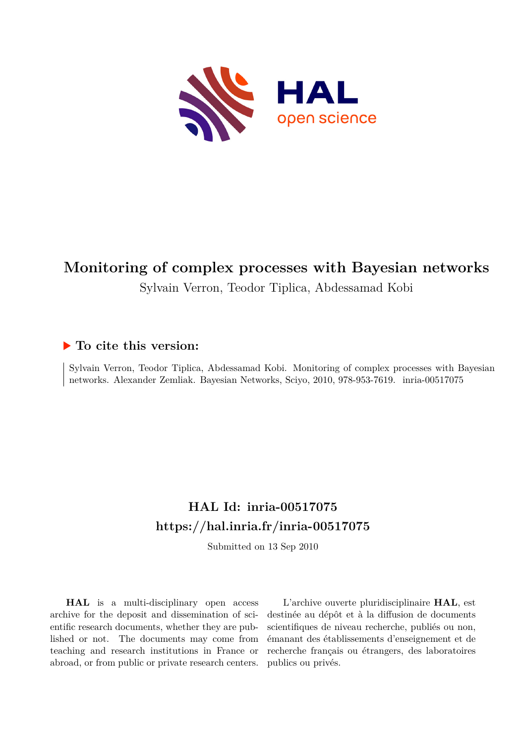

# **Monitoring of complex processes with Bayesian networks** Sylvain Verron, Teodor Tiplica, Abdessamad Kobi

# **To cite this version:**

Sylvain Verron, Teodor Tiplica, Abdessamad Kobi. Monitoring of complex processes with Bayesian networks. Alexander Zemliak. Bayesian Networks, Sciyo, 2010, 978-953-7619. inria-00517075

# **HAL Id: inria-00517075 <https://hal.inria.fr/inria-00517075>**

Submitted on 13 Sep 2010

**HAL** is a multi-disciplinary open access archive for the deposit and dissemination of scientific research documents, whether they are published or not. The documents may come from teaching and research institutions in France or abroad, or from public or private research centers.

L'archive ouverte pluridisciplinaire **HAL**, est destinée au dépôt et à la diffusion de documents scientifiques de niveau recherche, publiés ou non, émanant des établissements d'enseignement et de recherche français ou étrangers, des laboratoires publics ou privés.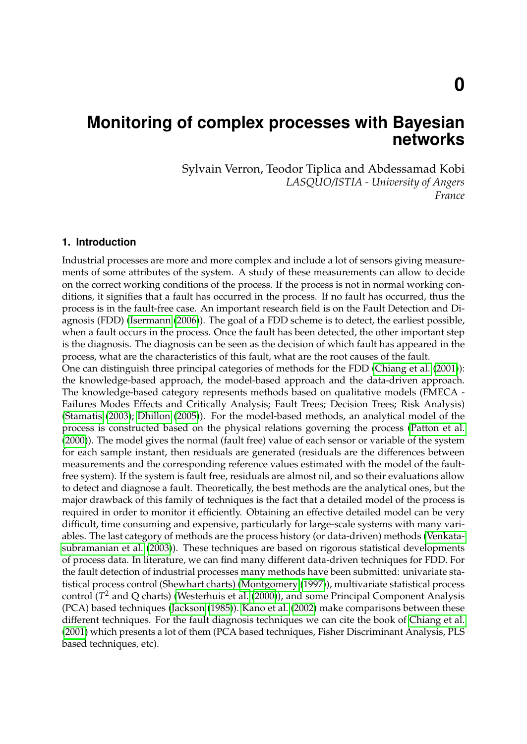# **Monitoring of complex processes with Bayesian networks**

Sylvain Verron, Teodor Tiplica and Abdessamad Kobi *LASQUO/ISTIA - University of Angers France*

## **1. Introduction**

Industrial processes are more and more complex and include a lot of sensors giving measurements of some attributes of the system. A study of these measurements can allow to decide on the correct working conditions of the process. If the process is not in normal working conditions, it signifies that a fault has occurred in the process. If no fault has occurred, thus the process is in the fault-free case. An important research field is on the Fault Detection and Diagnosis (FDD) (Isermann (2006)). The goal of a FDD scheme is to detect, the earliest possible, when a fault occurs in the process. Once the fault has been detected, the other important step is the diagnosis. The diagnosis can be seen as the decision of which fault has appeared in the process, what are the characteristics of this fault, what are the root causes of the fault.

One can distinguish three principal categories of methods for the FDD (Chiang et al. (2001)): the knowledge-based approach, the model-based approach and the data-driven approach. The knowledge-based category represents methods based on qualitative models (FMECA - Failures Modes Effects and Critically Analysis; Fault Trees; Decision Trees; Risk Analysis) (Stamatis (2003); Dhillon (2005)). For the model-based methods, an analytical model of the process is constructed based on the physical relations governing the process (Patton et al. (2000)). The model gives the normal (fault free) value of each sensor or variable of the system for each sample instant, then residuals are generated (residuals are the differences between measurements and the corresponding reference values estimated with the model of the faultfree system). If the system is fault free, residuals are almost nil, and so their evaluations allow to detect and diagnose a fault. Theoretically, the best methods are the analytical ones, but the major drawback of this family of techniques is the fact that a detailed model of the process is required in order to monitor it efficiently. Obtaining an effective detailed model can be very difficult, time consuming and expensive, particularly for large-scale systems with many variables. The last category of methods are the process history (or data-driven) methods (Venkatasubramanian et al. (2003)). These techniques are based on rigorous statistical developments of process data. In literature, we can find many different data-driven techniques for FDD. For the fault detection of industrial processes many methods have been submitted: univariate statistical process control (Shewhart charts) (Montgomery (1997)), multivariate statistical process control (*T* <sup>2</sup> and Q charts) (Westerhuis et al. (2000)), and some Principal Component Analysis (PCA) based techniques (Jackson (1985)). Kano et al. (2002) make comparisons between these different techniques. For the fault diagnosis techniques we can cite the book of Chiang et al. (2001) which presents a lot of them (PCA based techniques, Fisher Discriminant Analysis, PLS based techniques, etc).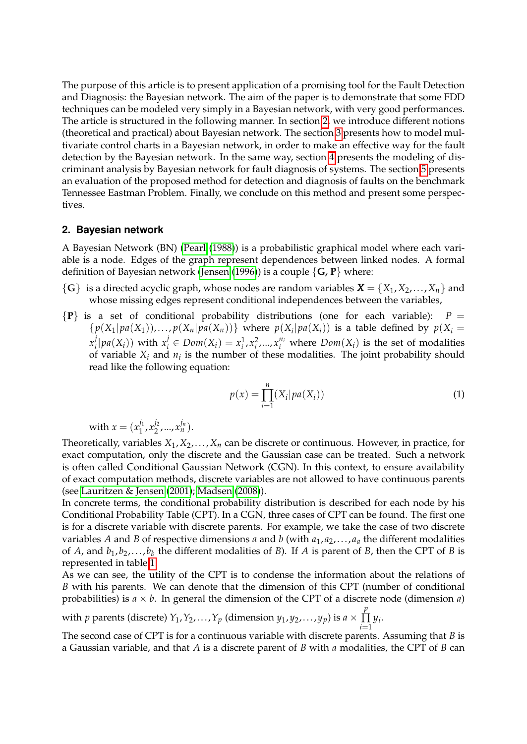The purpose of this article is to present application of a promising tool for the Fault Detection and Diagnosis: the Bayesian network. The aim of the paper is to demonstrate that some FDD techniques can be modeled very simply in a Bayesian network, with very good performances. The article is structured in the following manner. In section 2, we introduce different notions (theoretical and practical) about Bayesian network. The section 3 presents how to model multivariate control charts in a Bayesian network, in order to make an effective way for the fault detection by the Bayesian network. In the same way, section 4 presents the modeling of discriminant analysis by Bayesian network for fault diagnosis of systems. The section 5 presents an evaluation of the proposed method for detection and diagnosis of faults on the benchmark Tennessee Eastman Problem. Finally, we conclude on this method and present some perspectives.

## **2. Bayesian network**

A Bayesian Network (BN) (Pearl (1988)) is a probabilistic graphical model where each variable is a node. Edges of the graph represent dependences between linked nodes. A formal definition of Bayesian network (Jensen (1996)) is a couple {**G, P**} where:

- ${G}$  is a directed acyclic graph, whose nodes are random variables  $\boldsymbol{X} = \{X_1, X_2, ..., X_n\}$  and whose missing edges represent conditional independences between the variables,
- ${P}$  is a set of conditional probability distributions (one for each variable):  $P =$  $\{p(X_1|pa(X_1)),..., p(X_n|pa(X_n))\}$  where  $p(X_i|pa(X_i))$  is a table defined by  $p(X_i =$ *x j*  $\int_{i}^{j} |pa(X_{i})| \text{ with } x_{i}^{j}$ *i*∈ *Dom*(*X<sub>i</sub>*) = *x*<sup>1</sup><sub>*i*</sub>, *x*<sup>2</sup><sub>*i*</sub></sup>, ..., *x*<sup>*n<sub>i</sub>*</sup> where *Dom*(*X<sub>i</sub>*) is the set of modalities of variable  $X_i$  and  $n_i$  is the number of these modalities. The joint probability should read like the following equation:

$$
p(x) = \prod_{i=1}^{n} (X_i | pa(X_i))
$$
 (1)

with  $x = (x_1^{j_1}, x_2^{j_2}, ..., x_n^{j_n}).$ 

Theoretically, variables *X*<sup>1</sup> ,*X*2,. . .,*X<sup>n</sup>* can be discrete or continuous. However, in practice, for exact computation, only the discrete and the Gaussian case can be treated. Such a network is often called Conditional Gaussian Network (CGN). In this context, to ensure availability of exact computation methods, discrete variables are not allowed to have continuous parents (see Lauritzen & Jensen (2001); Madsen (2008)).

In concrete terms, the conditional probability distribution is described for each node by his Conditional Probability Table (CPT). In a CGN, three cases of CPT can be found. The first one is for a discrete variable with discrete parents. For example, we take the case of two discrete variables *A* and *B* of respective dimensions *a* and *b* (with *a*<sup>1</sup> , *a*2,. . ., *a<sup>a</sup>* the different modalities of *A*, and  $b_1$ ,  $b_2$ ,...,  $b_b$  the different modalities of *B*). If *A* is parent of *B*, then the CPT of *B* is represented in table 1.

As we can see, the utility of the CPT is to condense the information about the relations of *B* with his parents. We can denote that the dimension of this CPT (number of conditional probabilities) is  $a \times b$ . In general the dimension of the CPT of a discrete node (dimension *a*)

with *p* parents (discrete)  $Y_1, Y_2, \ldots, Y_p$  (dimension  $y_1, y_2, \ldots, y_p$ ) is  $a \times \prod^p p$ ∏ *yi* .

*i*=1 The second case of CPT is for a continuous variable with discrete parents. Assuming that *B* is a Gaussian variable, and that *A* is a discrete parent of *B* with *a* modalities, the CPT of *B* can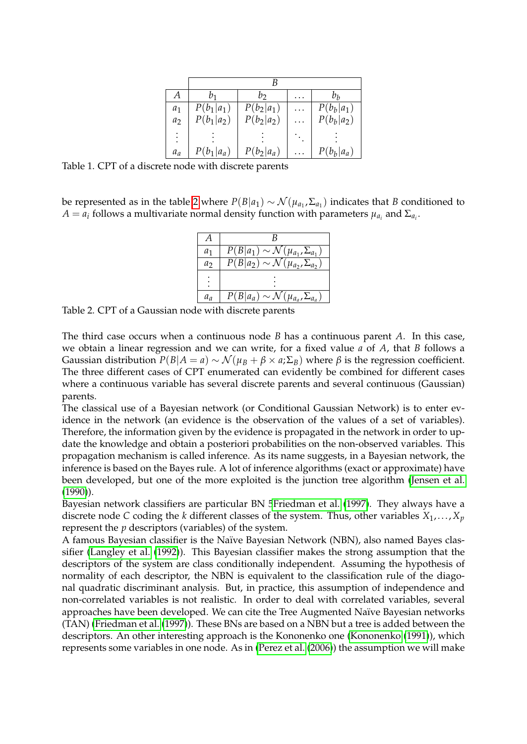| А              | b1           | bэ                      | . | bħ           |  |  |  |  |  |  |  |  |  |  |
|----------------|--------------|-------------------------|---|--------------|--|--|--|--|--|--|--|--|--|--|
| a <sub>1</sub> | $P(b_1 a_1)$ | $\overline{P}(b_2 a_1)$ |   | $P(b_b a_1)$ |  |  |  |  |  |  |  |  |  |  |
| $a_2$          | $P(b_1 a_2)$ | $P(b_2 a_2)$            |   | $P(b_b a_2)$ |  |  |  |  |  |  |  |  |  |  |
|                |              |                         |   |              |  |  |  |  |  |  |  |  |  |  |
| $a_a$          | $P(b_1 a_a)$ | $P(b_2 a_a)$            |   | $P(b_b a_a)$ |  |  |  |  |  |  |  |  |  |  |

Table 1. CPT of a discrete node with discrete parents

be represented as in the table 2 where  $P(B|a_1) \sim \mathcal{N}(\mu_{a_1}, \Sigma_{a_1})$  indicates that *B* conditioned to  $A = a_i$  follows a multivariate normal density function with parameters  $\mu_{a_i}$  and  $\Sigma_{a_i}$ .

| a1 | $\overline{P(B a_1)} \sim \mathcal{N}(\mu_{a_1}, \Sigma_{a_1})$ |
|----|-----------------------------------------------------------------|
| a  | $\overline{P(B a_2)} \sim \mathcal{N}(\mu_{a_2}, \Sigma_{a_2})$ |
|    |                                                                 |
|    | $\overline{P(B a_a)} \sim \mathcal{N}(\mu_{a_a}, \Sigma_{a_a})$ |

Table 2. CPT of a Gaussian node with discrete parents

The third case occurs when a continuous node *B* has a continuous parent *A*. In this case, we obtain a linear regression and we can write, for a fixed value *a* of *A*, that *B* follows a Gaussian distribution  $P(B|A = a) \sim \mathcal{N}(\mu_B + \beta \times a; \Sigma_B)$  where  $\beta$  is the regression coefficient. The three different cases of CPT enumerated can evidently be combined for different cases where a continuous variable has several discrete parents and several continuous (Gaussian) parents.

The classical use of a Bayesian network (or Conditional Gaussian Network) is to enter evidence in the network (an evidence is the observation of the values of a set of variables). Therefore, the information given by the evidence is propagated in the network in order to update the knowledge and obtain a posteriori probabilities on the non-observed variables. This propagation mechanism is called inference. As its name suggests, in a Bayesian network, the inference is based on the Bayes rule. A lot of inference algorithms (exact or approximate) have been developed, but one of the more exploited is the junction tree algorithm (Jensen et al. (1990)).

Bayesian network classifiers are particular BN 5Friedman et al. (1997). They always have a discrete node *C* coding the *k* different classes of the system. Thus, other variables *X*<sup>1</sup> ,. . .,*Xp* represent the *p* descriptors (variables) of the system.

A famous Bayesian classifier is the Naïve Bayesian Network (NBN), also named Bayes classifier (Langley et al. (1992)). This Bayesian classifier makes the strong assumption that the descriptors of the system are class conditionally independent. Assuming the hypothesis of normality of each descriptor, the NBN is equivalent to the classification rule of the diagonal quadratic discriminant analysis. But, in practice, this assumption of independence and non-correlated variables is not realistic. In order to deal with correlated variables, several approaches have been developed. We can cite the Tree Augmented Naïve Bayesian networks (TAN) (Friedman et al. (1997)). These BNs are based on a NBN but a tree is added between the descriptors. An other interesting approach is the Kononenko one (Kononenko (1991)), which represents some variables in one node. As in (Perez et al. (2006)) the assumption we will make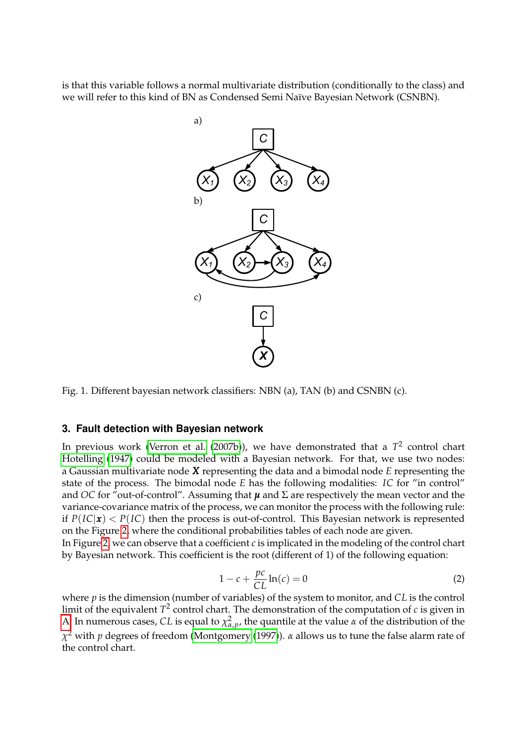is that this variable follows a normal multivariate distribution (conditionally to the class) and we will refer to this kind of BN as Condensed Semi Naïve Bayesian Network (CSNBN).



Fig. 1. Different bayesian network classifiers: NBN (a), TAN (b) and CSNBN (c).

#### **3. Fault detection with Bayesian network**

In previous work (Verron et al. (2007b)), we have demonstrated that a *T* 2 control chart Hotelling (1947) could be modeled with a Bayesian network. For that, we use two nodes: a Gaussian multivariate node *X* representing the data and a bimodal node *E* representing the state of the process. The bimodal node *E* has the following modalities: *IC* for "in control" and *OC* for "out-of-control". Assuming that  $\mu$  and  $\Sigma$  are respectively the mean vector and the variance-covariance matrix of the process, we can monitor the process with the following rule: if  $P(IC|\mathbf{x}) < P(IC)$  then the process is out-of-control. This Bayesian network is represented on the Figure 2, where the conditional probabilities tables of each node are given.

In Figure 2, we can observe that a coefficient *c* is implicated in the modeling of the control chart by Bayesian network. This coefficient is the root (different of 1) of the following equation:

$$
1 - c + \frac{pc}{CL} \ln(c) = 0 \tag{2}
$$

where *p* is the dimension (number of variables) of the system to monitor, and *CL* is the control limit of the equivalent  $T^2$  control chart. The demonstration of the computation of  $c$  is given in A. In numerous cases, CL is equal to  $\chi^2_{\alpha,p}$ , the quantile at the value  $\alpha$  of the distribution of the *χ* <sup>2</sup> with *p* degrees of freedom (Montgomery (1997)). *α* allows us to tune the false alarm rate of the control chart.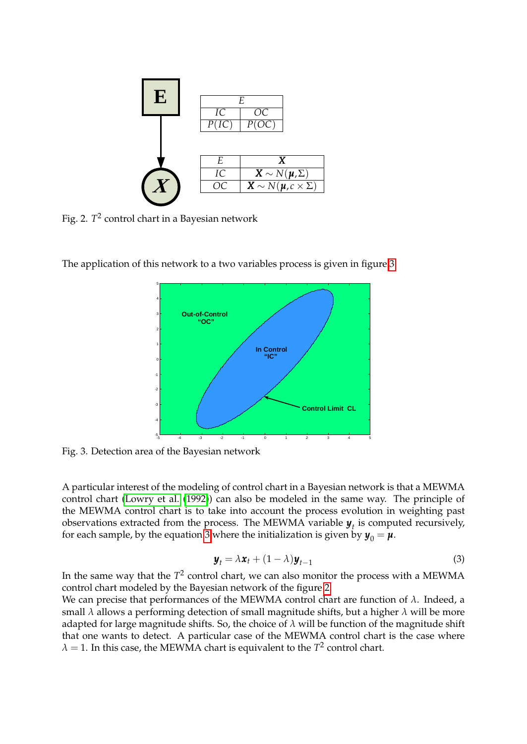

Fig. 2. *T* 2 control chart in a Bayesian network

The application of this network to a two variables process is given in figure 3.



Fig. 3. Detection area of the Bayesian network

A particular interest of the modeling of control chart in a Bayesian network is that a MEWMA control chart (Lowry et al. (1992)) can also be modeled in the same way. The principle of the MEWMA control chart is to take into account the process evolution in weighting past observations extracted from the process. The MEWMA variable  $y_t$  is computed recursively, for each sample, by the equation 3 where the initialization is given by  $y_0 = \mu$ .

$$
\boldsymbol{y}_t = \lambda \boldsymbol{x}_t + (1 - \lambda) \boldsymbol{y}_{t-1} \tag{3}
$$

In the same way that the  $T^2$  control chart, we can also monitor the process with a MEWMA control chart modeled by the Bayesian network of the figure 2.

We can precise that performances of the MEWMA control chart are function of *λ*. Indeed, a small *λ* allows a performing detection of small magnitude shifts, but a higher *λ* will be more adapted for large magnitude shifts. So, the choice of *λ* will be function of the magnitude shift that one wants to detect. A particular case of the MEWMA control chart is the case where  $\lambda = 1$ . In this case, the MEWMA chart is equivalent to the  $T^2$  control chart.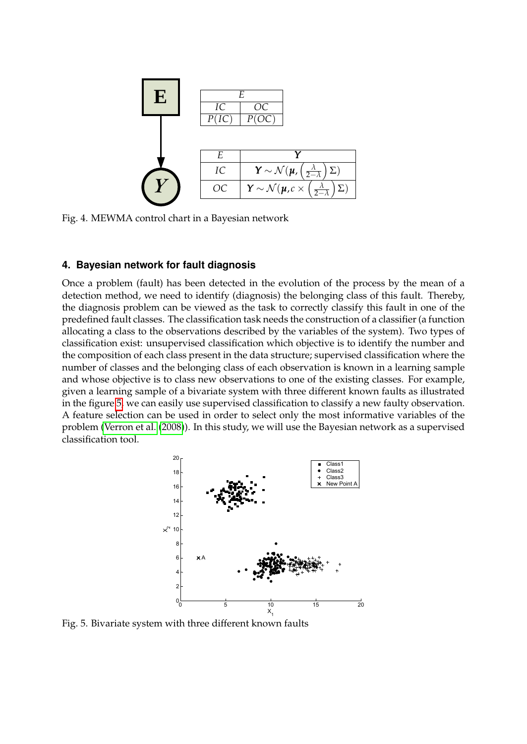

Fig. 4. MEWMA control chart in a Bayesian network

# **4. Bayesian network for fault diagnosis**

Once a problem (fault) has been detected in the evolution of the process by the mean of a detection method, we need to identify (diagnosis) the belonging class of this fault. Thereby, the diagnosis problem can be viewed as the task to correctly classify this fault in one of the predefined fault classes. The classification task needs the construction of a classifier (a function allocating a class to the observations described by the variables of the system). Two types of classification exist: unsupervised classification which objective is to identify the number and the composition of each class present in the data structure; supervised classification where the number of classes and the belonging class of each observation is known in a learning sample and whose objective is to class new observations to one of the existing classes. For example, given a learning sample of a bivariate system with three different known faults as illustrated in the figure 5, we can easily use supervised classification to classify a new faulty observation. A feature selection can be used in order to select only the most informative variables of the problem (Verron et al. (2008)). In this study, we will use the Bayesian network as a supervised classification tool.



Fig. 5. Bivariate system with three different known faults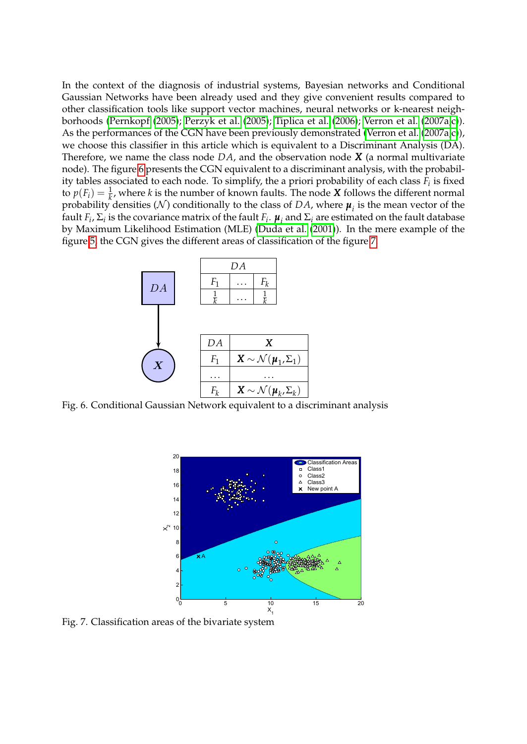In the context of the diagnosis of industrial systems, Bayesian networks and Conditional Gaussian Networks have been already used and they give convenient results compared to other classification tools like support vector machines, neural networks or k-nearest neighborhoods (Pernkopf (2005); Perzyk et al. (2005); Tiplica et al. (2006); Verron et al. (2007a;c)). As the performances of the CGN have been previously demonstrated (Verron et al. (2007a;c)), we choose this classifier in this article which is equivalent to a Discriminant Analysis (DA). Therefore, we name the class node *DA*, and the observation node *X* (a normal multivariate node). The figure 6 presents the CGN equivalent to a discriminant analysis, with the probability tables associated to each node. To simplify, the a priori probability of each class  $F_i$  is fixed to  $p(F_i) = \frac{1}{k}$ , where *k* is the number of known faults. The node *X* follows the different normal probability densities  $(N)$  conditionally to the class of *DA*, where  $\mu_i$  is the mean vector of the fault  $F_i$ ,  $\Sigma_i$  is the covariance matrix of the fault  $F_i$ .  $\mu_i$  and  $\Sigma_i$  are estimated on the fault database by Maximum Likelihood Estimation (MLE) (Duda et al. (2001)). In the mere example of the figure 5, the CGN gives the different areas of classification of the figure 7.



Fig. 6. Conditional Gaussian Network equivalent to a discriminant analysis



Fig. 7. Classification areas of the bivariate system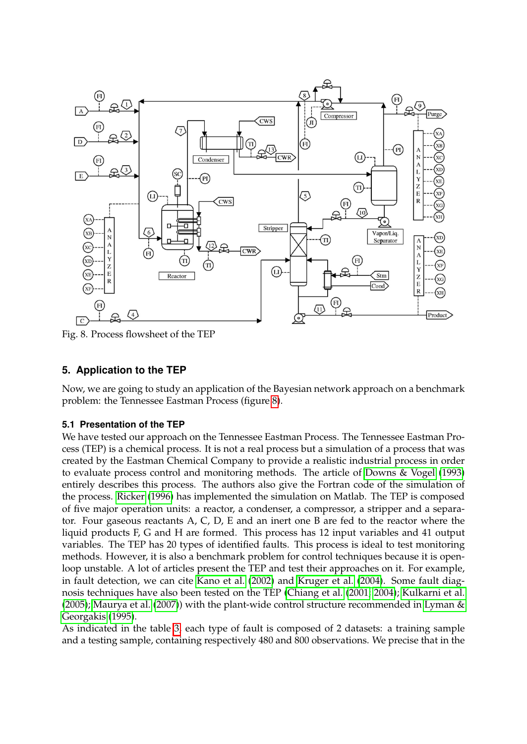

Fig. 8. Process flowsheet of the TEP

# **5. Application to the TEP**

Now, we are going to study an application of the Bayesian network approach on a benchmark problem: the Tennessee Eastman Process (figure 8).

# **5.1 Presentation of the TEP**

We have tested our approach on the Tennessee Eastman Process. The Tennessee Eastman Process (TEP) is a chemical process. It is not a real process but a simulation of a process that was created by the Eastman Chemical Company to provide a realistic industrial process in order to evaluate process control and monitoring methods. The article of Downs & Vogel (1993) entirely describes this process. The authors also give the Fortran code of the simulation of the process. Ricker (1996) has implemented the simulation on Matlab. The TEP is composed of five major operation units: a reactor, a condenser, a compressor, a stripper and a separator. Four gaseous reactants A, C, D, E and an inert one B are fed to the reactor where the liquid products F, G and H are formed. This process has 12 input variables and 41 output variables. The TEP has 20 types of identified faults. This process is ideal to test monitoring methods. However, it is also a benchmark problem for control techniques because it is openloop unstable. A lot of articles present the TEP and test their approaches on it. For example, in fault detection, we can cite Kano et al. (2002) and Kruger et al. (2004). Some fault diagnosis techniques have also been tested on the TEP (Chiang et al. (2001; 2004); Kulkarni et al. (2005); Maurya et al. (2007)) with the plant-wide control structure recommended in Lyman & Georgakis (1995).

As indicated in the table 3, each type of fault is composed of 2 datasets: a training sample and a testing sample, containing respectively 480 and 800 observations. We precise that in the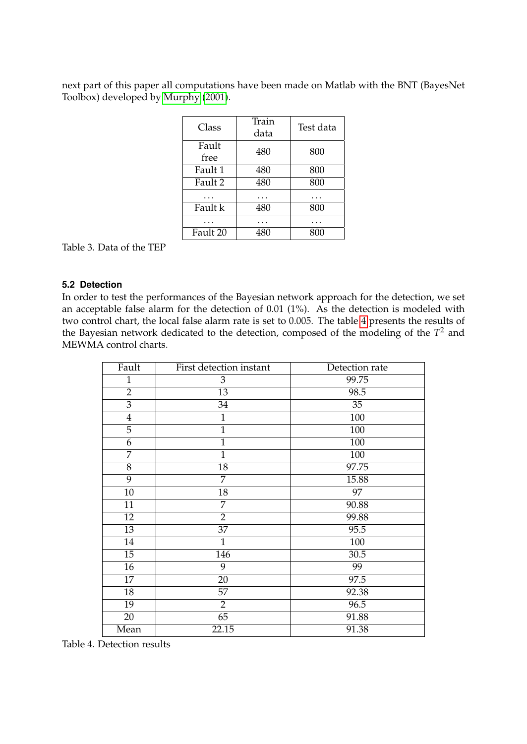next part of this paper all computations have been made on Matlab with the BNT (BayesNet Toolbox) developed by Murphy (2001).

| Train<br>data | Test data |  |  |  |  |
|---------------|-----------|--|--|--|--|
| 480           | 800       |  |  |  |  |
| 480           | 800       |  |  |  |  |
| 480           | 800       |  |  |  |  |
|               |           |  |  |  |  |
| 480           | 800       |  |  |  |  |
|               |           |  |  |  |  |
|               | 800       |  |  |  |  |
|               |           |  |  |  |  |

Table 3. Data of the TEP

## **5.2 Detection**

In order to test the performances of the Bayesian network approach for the detection, we set an acceptable false alarm for the detection of 0.01 (1%). As the detection is modeled with two control chart, the local false alarm rate is set to 0.005. The table 4 presents the results of the Bayesian network dedicated to the detection, composed of the modeling of the *T* <sup>2</sup> and MEWMA control charts.

| Fault          | First detection instant | Detection rate   |
|----------------|-------------------------|------------------|
| $\mathbf{1}$   | 3                       | 99.75            |
| $\overline{2}$ | 13                      | 98.5             |
| $\overline{3}$ | 34                      | 35               |
| $\overline{4}$ | $\mathbf{1}$            | $\overline{100}$ |
| $\overline{5}$ | $\overline{1}$          | 100              |
| 6              | $\overline{1}$          | 100              |
| 7              | $\overline{1}$          | 100              |
| 8              | 18                      | 97.75            |
| $\overline{9}$ | $\overline{7}$          | 15.88            |
| 10             | 18                      | 97               |
| 11             | $\overline{7}$          | 90.88            |
| 12             | $\overline{2}$          | 99.88            |
| 13             | 37                      | 95.5             |
| 14             | $\mathbf{1}$            | 100              |
| 15             | 146                     | 30.5             |
| 16             | 9                       | 99               |
| 17             | 20                      | 97.5             |
| 18             | 57                      | 92.38            |
| 19             | $\overline{2}$          | 96.5             |
| 20             | 65                      | 91.88            |
| Mean           | 22.15                   | 91.38            |

Table 4. Detection results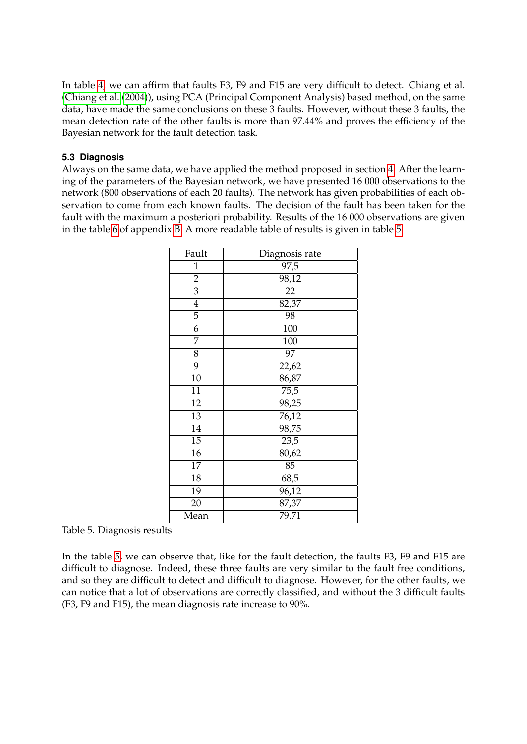In table 4, we can affirm that faults F3, F9 and F15 are very difficult to detect. Chiang et al. (Chiang et al. (2004)), using PCA (Principal Component Analysis) based method, on the same data, have made the same conclusions on these 3 faults. However, without these 3 faults, the mean detection rate of the other faults is more than 97.44% and proves the efficiency of the Bayesian network for the fault detection task.

# **5.3 Diagnosis**

Always on the same data, we have applied the method proposed in section 4. After the learning of the parameters of the Bayesian network, we have presented 16 000 observations to the network (800 observations of each 20 faults). The network has given probabilities of each observation to come from each known faults. The decision of the fault has been taken for the fault with the maximum a posteriori probability. Results of the 16 000 observations are given in the table 6 of appendix B. A more readable table of results is given in table 5.

| Fault                      | Diagnosis rate     |
|----------------------------|--------------------|
| 1                          | 97,5               |
| $\overline{2}$             | 98,12              |
| $\overline{\overline{3}}$  | 22                 |
| $\overline{4}$             | 82,37              |
| 5                          | 98                 |
| 6                          | 100                |
| 7                          | 100                |
| 8                          | 97                 |
| 9                          | 22,62              |
| 10                         | 86,87              |
| 11                         | 75,5               |
| 12                         | $\overline{98,25}$ |
| 13                         | 76,12              |
| 14                         | 98,75              |
| 15                         | $\overline{23,5}$  |
| 16                         | 80,62              |
| 17                         | 85                 |
| 18                         | 68,5               |
| 19                         | 96,12              |
| 20                         | 87,37              |
| $\overline{\mathrm{Mean}}$ | 79.71              |

Table 5. Diagnosis results

In the table 5, we can observe that, like for the fault detection, the faults F3, F9 and F15 are difficult to diagnose. Indeed, these three faults are very similar to the fault free conditions, and so they are difficult to detect and difficult to diagnose. However, for the other faults, we can notice that a lot of observations are correctly classified, and without the 3 difficult faults (F3, F9 and F15), the mean diagnosis rate increase to 90%.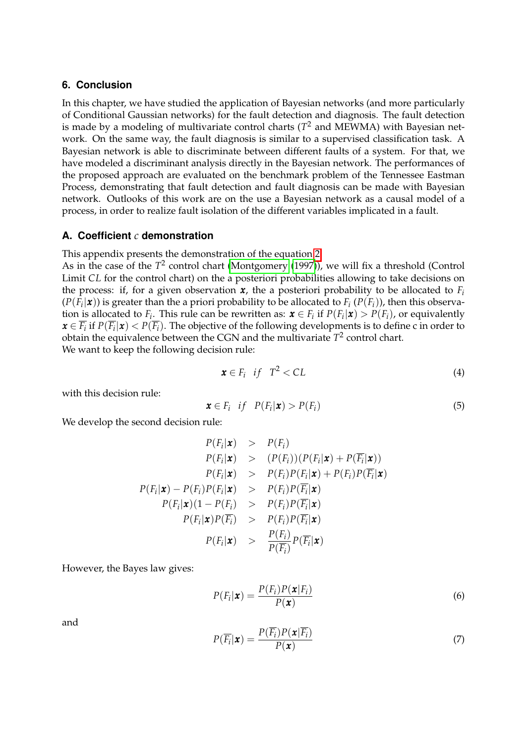## **6. Conclusion**

In this chapter, we have studied the application of Bayesian networks (and more particularly of Conditional Gaussian networks) for the fault detection and diagnosis. The fault detection is made by a modeling of multivariate control charts ( $T^2$  and MEWMA) with Bayesian network. On the same way, the fault diagnosis is similar to a supervised classification task. A Bayesian network is able to discriminate between different faults of a system. For that, we have modeled a discriminant analysis directly in the Bayesian network. The performances of the proposed approach are evaluated on the benchmark problem of the Tennessee Eastman Process, demonstrating that fault detection and fault diagnosis can be made with Bayesian network. Outlooks of this work are on the use a Bayesian network as a causal model of a process, in order to realize fault isolation of the different variables implicated in a fault.

# **A. Coefficient** *c* **demonstration**

This appendix presents the demonstration of the equation 2.

As in the case of the  $T^2$  control chart (Montgomery (1997)), we will fix a threshold (Control Limit *CL* for the control chart) on the a posteriori probabilities allowing to take decisions on the process: if, for a given observation  $x$ , the a posteriori probability to be allocated to  $F_i$  $(P(F_i|\boldsymbol{x}))$  is greater than the a priori probability to be allocated to  $F_i(P(F_i))$ , then this observation is allocated to  $F_i$ . This rule can be rewritten as:  $\mathbf{x} \in F_i$  if  $P(F_i|\mathbf{x}) > P(F_i)$ , or equivalently  $\bm{x} \in F_i$  if  $P(F_i|\bm{x}) < P(F_i)$ . The objective of the following developments is to define c in order to obtain the equivalence between the CGN and the multivariate  $T^2$  control chart. We want to keep the following decision rule:

$$
\mathbf{x} \in F_i \quad if \quad T^2 < CL \tag{4}
$$

with this decision rule:

$$
\mathbf{x} \in F_i \quad if \quad P(F_i|\mathbf{x}) > P(F_i) \tag{5}
$$

We develop the second decision rule:

$$
P(F_i|\mathbf{x}) > P(F_i)
$$
  
\n
$$
P(F_i|\mathbf{x}) > (P(F_i))(P(F_i|\mathbf{x}) + P(\overline{F_i}|\mathbf{x}))
$$
  
\n
$$
P(F_i|\mathbf{x}) > P(F_i)P(F_i|\mathbf{x}) + P(F_i)P(\overline{F_i}|\mathbf{x})
$$
  
\n
$$
P(F_i|\mathbf{x}) - P(F_i)P(F_i|\mathbf{x}) > P(F_i)P(\overline{F_i}|\mathbf{x})
$$
  
\n
$$
P(F_i|\mathbf{x})(1 - P(F_i) > P(F_i)P(\overline{F_i}|\mathbf{x})
$$
  
\n
$$
P(F_i|\mathbf{x})P(\overline{F_i}) > P(F_i)P(\overline{F_i}|\mathbf{x})
$$
  
\n
$$
P(F_i|\mathbf{x}) > \frac{P(F_i)}{P(\overline{F_i})}P(\overline{F_i}|\mathbf{x})
$$

However, the Bayes law gives:

$$
P(F_i|\mathbf{x}) = \frac{P(F_i)P(\mathbf{x}|F_i)}{P(\mathbf{x})}
$$
\n(6)

and

$$
P(\overline{F_i}|\mathbf{x}) = \frac{P(\overline{F_i})P(\mathbf{x}|\overline{F_i})}{P(\mathbf{x})}
$$
(7)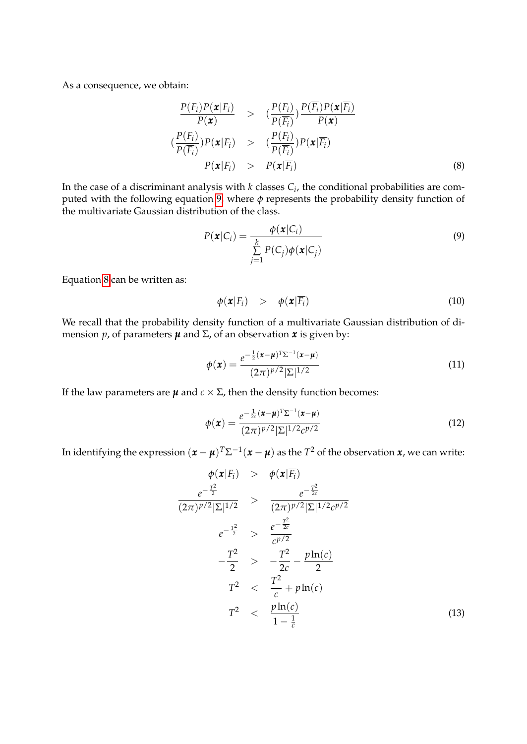As a consequence, we obtain:

$$
\frac{P(F_i)P(\mathbf{x}|F_i)}{P(\mathbf{x})} > (\frac{P(F_i)}{P(\overline{F_i})})\frac{P(\overline{F_i})P(\mathbf{x}|F_i)}{P(\mathbf{x})}
$$
\n
$$
(\frac{P(F_i)}{P(\overline{F_i})})P(\mathbf{x}|F_i) > (\frac{P(F_i)}{P(\overline{F_i})})P(\mathbf{x}|F_i)
$$
\n
$$
P(\mathbf{x}|F_i) > P(\mathbf{x}|F_i)
$$
\n(8)

In the case of a discriminant analysis with *k* classes *C<sup>i</sup>* , the conditional probabilities are computed with the following equation 9, where *φ* represents the probability density function of the multivariate Gaussian distribution of the class.

$$
P(\mathbf{x}|C_i) = \frac{\phi(\mathbf{x}|C_i)}{\sum\limits_{j=1}^k P(C_j)\phi(\mathbf{x}|C_j)}
$$
(9)

Equation 8 can be written as:

$$
\phi(\mathbf{x}|F_i) > \phi(\mathbf{x}|\overline{F_i}) \tag{10}
$$

We recall that the probability density function of a multivariate Gaussian distribution of dimension *p*, of parameters  $\mu$  and  $\Sigma$ , of an observation  $x$  is given by:

$$
\phi(\mathbf{x}) = \frac{e^{-\frac{1}{2}(\mathbf{x} - \mathbf{\mu})^T \Sigma^{-1}(\mathbf{x} - \mathbf{\mu})}}{(2\pi)^{p/2} |\Sigma|^{1/2}}
$$
(11)

If the law parameters are  $\mu$  and  $c \times \Sigma$ , then the density function becomes:

$$
\phi(\mathbf{x}) = \frac{e^{-\frac{1}{2c}(\mathbf{x} - \boldsymbol{\mu})^T \Sigma^{-1}(\mathbf{x} - \boldsymbol{\mu})}}{(2\pi)^{p/2} |\Sigma|^{1/2} c^{p/2}}
$$
(12)

In identifying the expression  $(\bm{x}-\bm{\mu})^T\Sigma^{-1}(\bm{x}-\bm{\mu})$  as the  $T^2$  of the observation  $\bm{x}$ , we can write:

$$
\begin{array}{rcl}\n\phi(\mathbf{x}|F_i) > & \phi(\mathbf{x}|F_i) \\
\frac{e^{-\frac{T^2}{2}}}{2\pi r^2} > & \frac{e^{-\frac{T^2}{2c}}}{2\pi r^2} \\
\frac{e^{-\frac{T^2}{2}}}{2\pi r^2} > & \frac{e^{-\frac{T^2}{2c}}}{2\pi r^2} \\
\frac{T^2}{2} > & \frac{T^2}{2c} - \frac{p\ln(c)}{2} \\
T^2 < & \frac{T^2}{c} + p\ln(c) \\
T^2 < & \frac{p\ln(c)}{1 - \frac{1}{c}}\n\end{array}
$$
\n(13)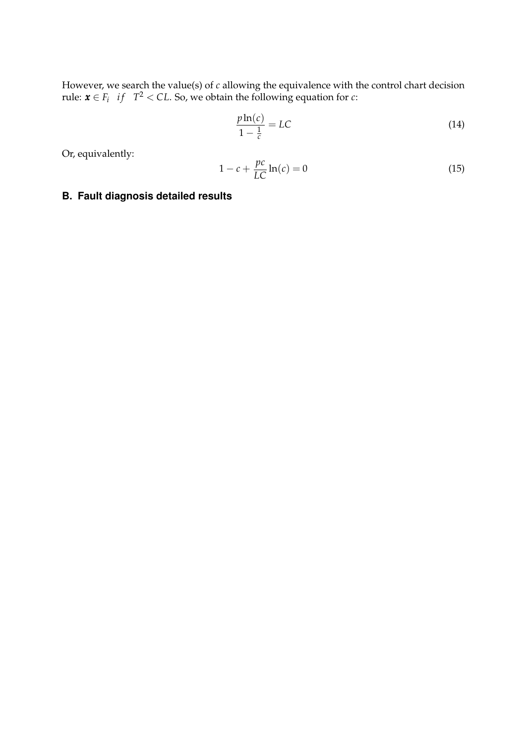However, we search the value(s) of *c* allowing the equivalence with the control chart decision rule:  $\boldsymbol{x} \in F_i$  *if*  $T^2 < CL$ . So, we obtain the following equation for *c*:

$$
\frac{p\ln(c)}{1-\frac{1}{c}} = LC\tag{14}
$$

Or, equivalently:

$$
1 - c + \frac{pc}{LC} \ln(c) = 0 \tag{15}
$$

# **B. Fault diagnosis detailed results**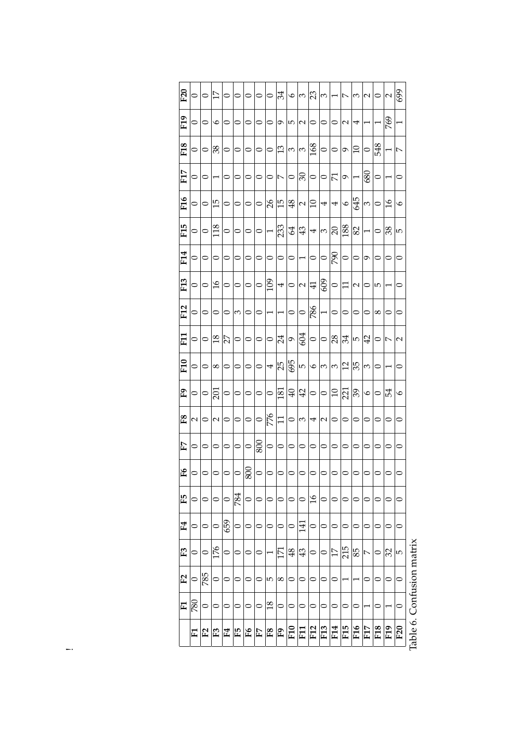| F <sub>20</sub> | $\circ$ | $\circ$        | ₽             | 0       | 0       | 0       | $\circ$ | $\circ$          | 34             | $\circ$         | 3              | Z               | 3               |                 | $\overline{a}$  | $\infty$        | $\overline{\mathcal{L}}$ | $\circ$         | $\sim$          | 699             |
|-----------------|---------|----------------|---------------|---------|---------|---------|---------|------------------|----------------|-----------------|----------------|-----------------|-----------------|-----------------|-----------------|-----------------|--------------------------|-----------------|-----------------|-----------------|
| E19             | $\circ$ | $\circ$        | 9             | $\circ$ | $\circ$ | $\circ$ | $\circ$ | 0                | $ \sigma $     | LO <sub>1</sub> | $\sim$         | $\circ$         | $\circ$         | $\circ$         | $\sim$          | 4               |                          |                 | 769             |                 |
| F <sub>18</sub> | $\circ$ | $\circ$        | 38            | $\circ$ | $\circ$ | $\circ$ | $\circ$ | $\circ$          | $\mathfrak{L}$ | 3               | 3              | 168             | $\circ$         | $\circ$         | Ó               | $\overline{10}$ | $\circ$                  | 548             | $\overline{ }$  | $\sim$          |
| F17             | $\circ$ | $\circ$        |               | $\circ$ | $\circ$ | $\circ$ | $\circ$ | $\circ$          | ↖              | $\circ$         | 80             | $\circ$         | $\circ$         | 口               | Ó               |                 | 680                      | $\circ$         |                 | $\circ$         |
| E16             | $\circ$ | $\circ$        | 15            | 0       | $\circ$ | $\circ$ | $\circ$ | $\frac{8}{2}$    | 15             | $\frac{48}{5}$  | $\sim$         | $\Xi$           | 4               | 4               | $\circ$         | 645             | $\omega$                 | $\circ$         | $\frac{8}{1}$   | $\circ$         |
| F15             | $\circ$ | $\circ$        | 118           | $\circ$ | $\circ$ | $\circ$ | $\circ$ |                  | 233            | 2               | $\frac{3}{2}$  | 4               | 3               | $\Omega$        | 188             | 82              |                          | $\circ$         | 38              | Б               |
| F14             | $\circ$ | $\circ$        | $\circ$       | $\circ$ | $\circ$ | $\circ$ | $\circ$ | $\circ$          | $\circ$        | $\circ$         | $\overline{ }$ | $\circ$         | $\circ$         | 790             | $\circ$         | $\circ$         | Ò                        | $\circ$         | $\circ$         | $\circ$         |
| F13             | $\circ$ | $\circ$        | $\frac{8}{1}$ | $\circ$ | $\circ$ | $\circ$ | $\circ$ | $\overline{109}$ | 4              | $\circ$         | 2              | ⋥               | 609             | $\circ$         | $\Xi$           | 2               | $\circ$                  | 5               |                 | $\circ$         |
| F <sub>12</sub> | $\circ$ | $\circ$        | $\circ$       | $\circ$ | 3       | $\circ$ | $\circ$ |                  |                | $\circ$         | $\circ$        | 786             |                 | $\circ$         | $\circ$         | $\circ$         | 0                        | $^{\circ}$      | $\circ$         | $\circ$         |
| $E_1$           | $\circ$ | $\circ$        | $\frac{8}{2}$ | 27      | $\circ$ | $\circ$ | $\circ$ | $\circ$          | $^{24}$        | $\sigma$        | 604            | $\circ$         | $\circ$         | 28              | 34              | 5               | $\frac{42}{3}$           | $\circ$         | $\overline{ }$  | $\mathsf{C}$    |
| $E_{\rm 0}$     | $\circ$ | $\circ$        | $^{\circ}$    | $\circ$ | $\circ$ | $\circ$ | $\circ$ | 4                | 25             | 695             | 5              | 6               | 3               | 3               | $\overline{12}$ | 35              | 3                        | $\circ$         |                 | $\circ$         |
| E9              | $\circ$ | $\circ$        | 201           | $\circ$ | $\circ$ | $\circ$ | $\circ$ | $\circ$          | 181            | $\overline{40}$ | 42             | $\circ$         | $\circ$         | $\overline{10}$ | 21              | 39              | $\circ$                  | $\circ$         | 54              | $\circ$         |
| $_{\rm E}$      | $\sim$  | $\circ$        | $\sim$        | $\circ$ | $\circ$ | $\circ$ | $\circ$ | 776              | Ξ              | $\circ$         | 3              | 4               | $\sim$          | $\circ$         | $\circ$         | $\circ$         | 0                        | $\circ$         | $\circ$         | $\circ$         |
| E               | $\circ$ | $\circ$        | 0             | $\circ$ | $\circ$ | $\circ$ | 800     | $\circ$          | $\circ$        | $\circ$         | $\circ$        | 0               | $\circ$         | $\circ$         | $\circ$         | $\circ$         | $\circ$                  | $\circ$         | $\circ$         | $\circ$         |
| Ρó              | $\circ$ | $\circ$        | $\circ$       | $\circ$ | $\circ$ | 800     | $\circ$ | $\circ$          | $\circ$        | $\circ$         | $\circ$        | $\circ$         | $\circ$         | $\circ$         | $\circ$         | $\circ$         | 0                        | 0               | $\circ$         | $\circ$         |
| EБ              | $\circ$ | $\circ$        | $\circ$       | $\circ$ | 784     | $\circ$ | $\circ$ | $\circ$          | $\circ$        | $\circ$         | $\circ$        | $\frac{1}{6}$   | $\circ$         | $\circ$         | $\circ$         | $\circ$         | $\circ$                  | $\circ$         | $\circ$         | $\circ$         |
| F4              | $\circ$ | $\circ$        | $\circ$       | 659     | $\circ$ | $\circ$ | $\circ$ | $\circ$          | $\circ$        | $\circ$         | 141            | $\circ$         | $\circ$         | $\circ$         | $\circ$         | $\circ$         | $\circ$                  | $\circ$         | $\circ$         | $\circ$         |
| F3              | $\circ$ | $\circ$        | 176           | $\circ$ | $\circ$ | $\circ$ | $\circ$ |                  | $\overline{2}$ | $\frac{8}{3}$   | $\frac{3}{2}$  | $\circ$         | $\circ$         | $\overline{17}$ | 215             | 85              | $\sim$                   | $\circ$         | 32              | 5               |
| $_{\rm F2}$     | $\circ$ | 785            | $\circ$       | $\circ$ | 0       | $\circ$ | 0       | ഥ                | $^{\circ}$     | $\circ$         | $\circ$        | 0               | $\circ$         | $\circ$         |                 |                 |                          | 0               | 0               | 0               |
| E               | 780     | $\circ$        | $\circ$       | $\circ$ | $\circ$ | $\circ$ | $\circ$ | $\frac{8}{2}$    | $\circ$        | $\circ$         | $\circ$        | $\circ$         | $\circ$         | $\circ$         | $\circ$         | $\circ$         |                          | $\circ$         |                 | $\circ$         |
|                 | F1      | F <sub>2</sub> | F3            | E       | F5      | F6      | F       | $\mathbb{E}$     | $\mathbb{E}$   | $_{\rm F10}$    | E1             | F <sub>12</sub> | F <sub>13</sub> | F14             | F15             | F16             | FIT                      | F <sub>18</sub> | F <sub>19</sub> | F <sub>20</sub> |

Table 6. Confusion matrix Table 6. Confusion matrix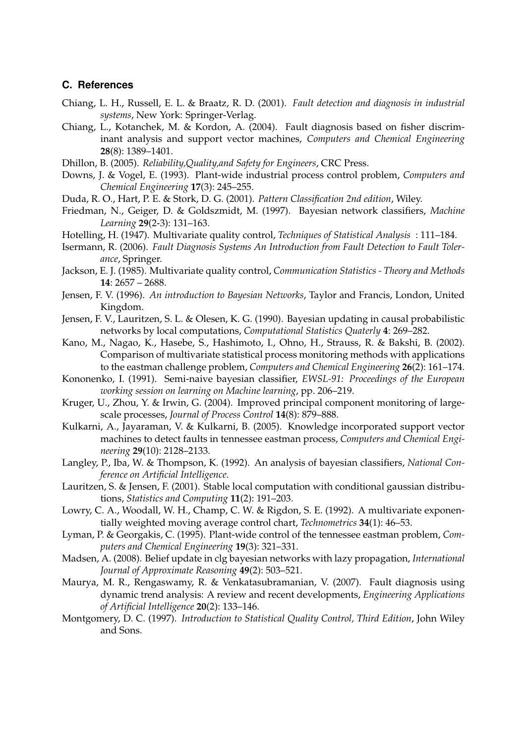## **C. References**

- Chiang, L. H., Russell, E. L. & Braatz, R. D. (2001). *Fault detection and diagnosis in industrial systems*, New York: Springer-Verlag.
- Chiang, L., Kotanchek, M. & Kordon, A. (2004). Fault diagnosis based on fisher discriminant analysis and support vector machines, *Computers and Chemical Engineering* **28**(8): 1389–1401.
- Dhillon, B. (2005). *Reliability,Quality,and Safety for Engineers*, CRC Press.
- Downs, J. & Vogel, E. (1993). Plant-wide industrial process control problem, *Computers and Chemical Engineering* **17**(3): 245–255.
- Duda, R. O., Hart, P. E. & Stork, D. G. (2001). *Pattern Classification 2nd edition*, Wiley.
- Friedman, N., Geiger, D. & Goldszmidt, M. (1997). Bayesian network classifiers, *Machine Learning* **29**(2-3): 131–163.
- Hotelling, H. (1947). Multivariate quality control, *Techniques of Statistical Analysis* : 111–184.
- Isermann, R. (2006). *Fault Diagnosis Systems An Introduction from Fault Detection to Fault Tolerance*, Springer.
- Jackson, E. J. (1985). Multivariate quality control, *Communication Statistics Theory and Methods* **14**: 2657 – 2688.
- Jensen, F. V. (1996). *An introduction to Bayesian Networks*, Taylor and Francis, London, United Kingdom.
- Jensen, F. V., Lauritzen, S. L. & Olesen, K. G. (1990). Bayesian updating in causal probabilistic networks by local computations, *Computational Statistics Quaterly* **4**: 269–282.
- Kano, M., Nagao, K., Hasebe, S., Hashimoto, I., Ohno, H., Strauss, R. & Bakshi, B. (2002). Comparison of multivariate statistical process monitoring methods with applications to the eastman challenge problem, *Computers and Chemical Engineering* **26**(2): 161–174.
- Kononenko, I. (1991). Semi-naive bayesian classifier, *EWSL-91: Proceedings of the European working session on learning on Machine learning*, pp. 206–219.
- Kruger, U., Zhou, Y. & Irwin, G. (2004). Improved principal component monitoring of largescale processes, *Journal of Process Control* **14**(8): 879–888.
- Kulkarni, A., Jayaraman, V. & Kulkarni, B. (2005). Knowledge incorporated support vector machines to detect faults in tennessee eastman process, *Computers and Chemical Engineering* **29**(10): 2128–2133.
- Langley, P., Iba, W. & Thompson, K. (1992). An analysis of bayesian classifiers, *National Conference on Artificial Intelligence*.
- Lauritzen, S. & Jensen, F. (2001). Stable local computation with conditional gaussian distributions, *Statistics and Computing* **11**(2): 191–203.
- Lowry, C. A., Woodall, W. H., Champ, C. W. & Rigdon, S. E. (1992). A multivariate exponentially weighted moving average control chart, *Technometrics* **34**(1): 46–53.
- Lyman, P. & Georgakis, C. (1995). Plant-wide control of the tennessee eastman problem, *Computers and Chemical Engineering* **19**(3): 321–331.
- Madsen, A. (2008). Belief update in clg bayesian networks with lazy propagation, *International Journal of Approximate Reasoning* **49**(2): 503–521.
- Maurya, M. R., Rengaswamy, R. & Venkatasubramanian, V. (2007). Fault diagnosis using dynamic trend analysis: A review and recent developments, *Engineering Applications of Artificial Intelligence* **20**(2): 133–146.
- Montgomery, D. C. (1997). *Introduction to Statistical Quality Control, Third Edition*, John Wiley and Sons.